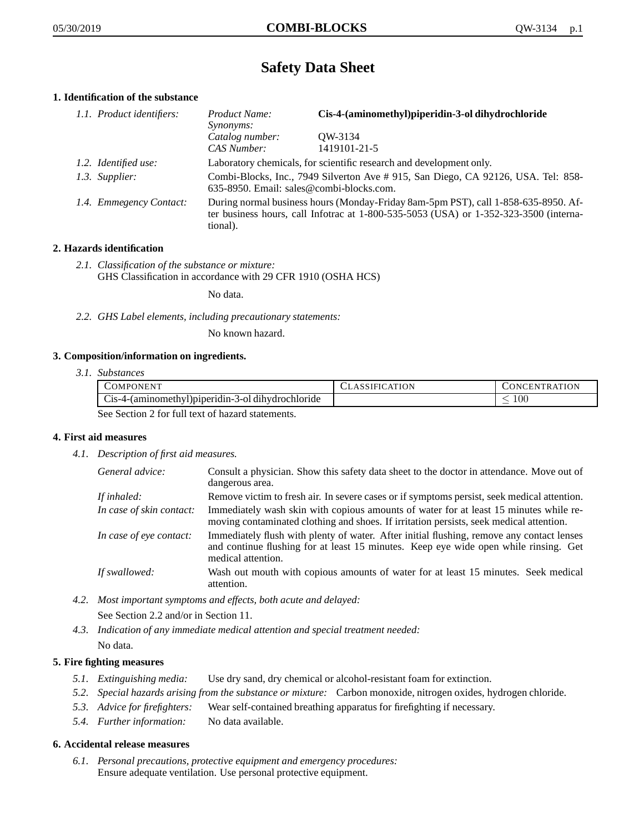# **Safety Data Sheet**

## **1. Identification of the substance**

| 1.1. Product identifiers: | Product Name:<br>Synonyms:                                                                                                                                                              | Cis-4-(aminomethyl)piperidin-3-ol dihydrochloride |
|---------------------------|-----------------------------------------------------------------------------------------------------------------------------------------------------------------------------------------|---------------------------------------------------|
|                           | Catalog number:<br>CAS Number:                                                                                                                                                          | OW-3134<br>1419101-21-5                           |
| 1.2. Identified use:      | Laboratory chemicals, for scientific research and development only.                                                                                                                     |                                                   |
| 1.3. Supplier:            | Combi-Blocks, Inc., 7949 Silverton Ave #915, San Diego, CA 92126, USA. Tel: 858-<br>635-8950. Email: sales@combi-blocks.com.                                                            |                                                   |
| 1.4. Emmegency Contact:   | During normal business hours (Monday-Friday 8am-5pm PST), call 1-858-635-8950. Af-<br>ter business hours, call Infotrac at 1-800-535-5053 (USA) or 1-352-323-3500 (interna-<br>tional). |                                                   |

## **2. Hazards identification**

*2.1. Classification of the substance or mixture:* GHS Classification in accordance with 29 CFR 1910 (OSHA HCS)

No data.

*2.2. GHS Label elements, including precautionary statements:*

No known hazard.

#### **3. Composition/information on ingredients.**

*3.1. Substances*

|                                                  | COMPONENT                                         | <b>CLASSIFICATION</b> | <b>CONCENTRATION</b> |
|--------------------------------------------------|---------------------------------------------------|-----------------------|----------------------|
|                                                  | Cis-4-(aminomethyl)piperidin-3-ol dihydrochloride |                       | 00 <sub>1</sub>      |
| See Section 2 for full text of hazard statements |                                                   |                       |                      |

See Section 2 for full text of hazard statements.

#### **4. First aid measures**

*4.1. Description of first aid measures.*

| General advice:          | Consult a physician. Show this safety data sheet to the doctor in attendance. Move out of<br>dangerous area.                                                                                            |
|--------------------------|---------------------------------------------------------------------------------------------------------------------------------------------------------------------------------------------------------|
| If inhaled:              | Remove victim to fresh air. In severe cases or if symptoms persist, seek medical attention.                                                                                                             |
| In case of skin contact: | Immediately wash skin with copious amounts of water for at least 15 minutes while re-<br>moving contaminated clothing and shoes. If irritation persists, seek medical attention.                        |
| In case of eye contact:  | Immediately flush with plenty of water. After initial flushing, remove any contact lenses<br>and continue flushing for at least 15 minutes. Keep eye wide open while rinsing. Get<br>medical attention. |
| If swallowed:            | Wash out mouth with copious amounts of water for at least 15 minutes. Seek medical<br>attention.                                                                                                        |

*4.2. Most important symptoms and effects, both acute and delayed:*

See Section 2.2 and/or in Section 11.

*4.3. Indication of any immediate medical attention and special treatment needed:* No data.

## **5. Fire fighting measures**

- *5.1. Extinguishing media:* Use dry sand, dry chemical or alcohol-resistant foam for extinction.
- *5.2. Special hazards arising from the substance or mixture:* Carbon monoxide, nitrogen oxides, hydrogen chloride.
- *5.3. Advice for firefighters:* Wear self-contained breathing apparatus for firefighting if necessary.
- *5.4. Further information:* No data available.

#### **6. Accidental release measures**

*6.1. Personal precautions, protective equipment and emergency procedures:* Ensure adequate ventilation. Use personal protective equipment.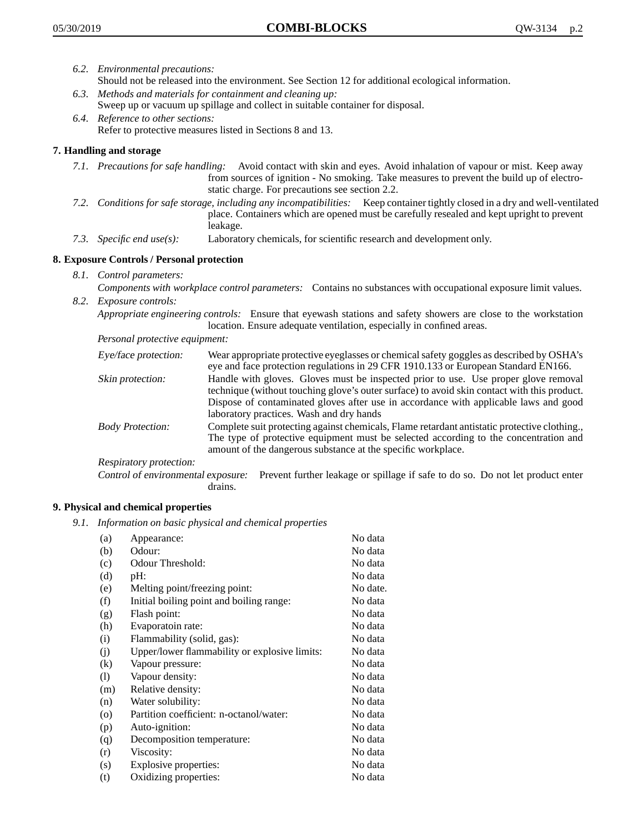- *6.2. Environmental precautions:* Should not be released into the environment. See Section 12 for additional ecological information.
- *6.3. Methods and materials for containment and cleaning up:* Sweep up or vacuum up spillage and collect in suitable container for disposal.
- *6.4. Reference to other sections:* Refer to protective measures listed in Sections 8 and 13.

## **7. Handling and storage**

- *7.1. Precautions for safe handling:* Avoid contact with skin and eyes. Avoid inhalation of vapour or mist. Keep away from sources of ignition - No smoking. Take measures to prevent the build up of electrostatic charge. For precautions see section 2.2.
- *7.2. Conditions for safe storage, including any incompatibilities:* Keep container tightly closed in a dry and well-ventilated place. Containers which are opened must be carefully resealed and kept upright to prevent leakage.
- *7.3. Specific end use(s):* Laboratory chemicals, for scientific research and development only.

## **8. Exposure Controls / Personal protection**

- *8.1. Control parameters:*
- *Components with workplace control parameters:* Contains no substances with occupational exposure limit values. *8.2. Exposure controls:*

*Appropriate engineering controls:* Ensure that eyewash stations and safety showers are close to the workstation location. Ensure adequate ventilation, especially in confined areas.

*Personal protective equipment:*

| Eye/face protection:    | Wear appropriate protective eyeglasses or chemical safety goggles as described by OSHA's<br>eye and face protection regulations in 29 CFR 1910.133 or European Standard EN166.                                                                                                                                         |
|-------------------------|------------------------------------------------------------------------------------------------------------------------------------------------------------------------------------------------------------------------------------------------------------------------------------------------------------------------|
| Skin protection:        | Handle with gloves. Gloves must be inspected prior to use. Use proper glove removal<br>technique (without touching glove's outer surface) to avoid skin contact with this product.<br>Dispose of contaminated gloves after use in accordance with applicable laws and good<br>laboratory practices. Wash and dry hands |
| <b>Body Protection:</b> | Complete suit protecting against chemicals, Flame retardant antistatic protective clothing.,<br>The type of protective equipment must be selected according to the concentration and<br>amount of the dangerous substance at the specific workplace.                                                                   |
| Respiratory protection: |                                                                                                                                                                                                                                                                                                                        |

Control of environmental exposure: Prevent further leakage or spillage if safe to do so. Do not let product enter drains.

#### **9. Physical and chemical properties**

*9.1. Information on basic physical and chemical properties*

| (a)                        | Appearance:                                   | No data  |
|----------------------------|-----------------------------------------------|----------|
| (b)                        | Odour:                                        | No data  |
| (c)                        | Odour Threshold:                              | No data  |
| (d)                        | pH:                                           | No data  |
| (e)                        | Melting point/freezing point:                 | No date. |
| (f)                        | Initial boiling point and boiling range:      | No data  |
| (g)                        | Flash point:                                  | No data  |
| (h)                        | Evaporatoin rate:                             | No data  |
| (i)                        | Flammability (solid, gas):                    | No data  |
| (j)                        | Upper/lower flammability or explosive limits: | No data  |
| (k)                        | Vapour pressure:                              | No data  |
| $\left( \mathrm{l}\right)$ | Vapour density:                               | No data  |
| (m)                        | Relative density:                             | No data  |
| (n)                        | Water solubility:                             | No data  |
| $\circ$                    | Partition coefficient: n-octanol/water:       | No data  |
| (p)                        | Auto-ignition:                                | No data  |
| (q)                        | Decomposition temperature:                    | No data  |
| (r)                        | Viscosity:                                    | No data  |
| (s)                        | Explosive properties:                         | No data  |
| (t)                        | Oxidizing properties:                         | No data  |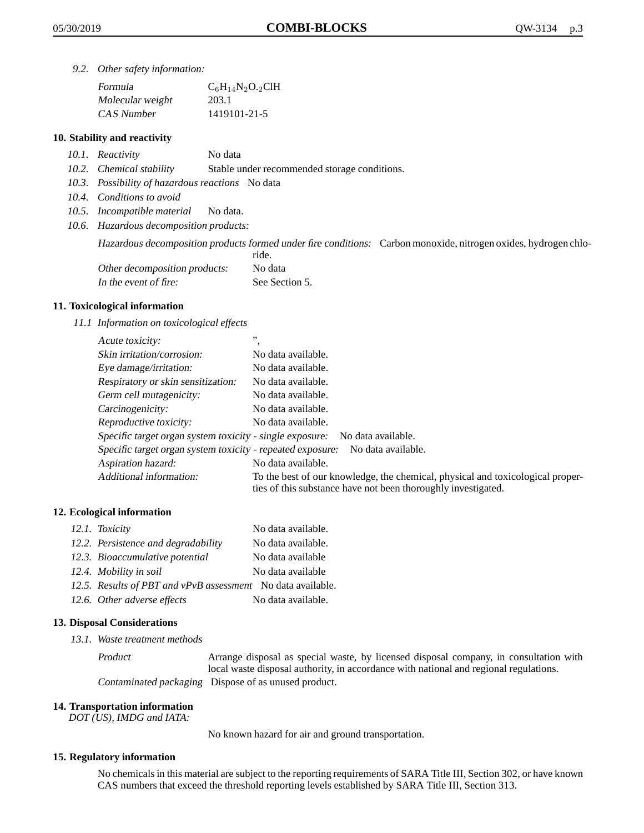*9.2. Other safety information:*

| Formula          | $C_6H_{14}N_2O_{2}CH$ |
|------------------|-----------------------|
| Molecular weight | 203.1                 |
| CAS Number       | 1419101-21-5          |

### **10. Stability and reactivity**

- *10.1. Reactivity* No data
- *10.2. Chemical stability* Stable under recommended storage conditions.
- *10.3. Possibility of hazardous reactions* No data
- *10.4. Conditions to avoid*
- *10.5. Incompatible material* No data.
- *10.6. Hazardous decomposition products:*

Hazardous decomposition products formed under fire conditions: Carbon monoxide, nitrogen oxides, hydrogen chlo-

|                               | ride.          |
|-------------------------------|----------------|
| Other decomposition products: | No data        |
| In the event of fire:         | See Section 5. |

#### **11. Toxicological information**

*11.1 Information on toxicological effects*

| Acute toxicity:                                                                  | ,,                                                                                                                                              |  |
|----------------------------------------------------------------------------------|-------------------------------------------------------------------------------------------------------------------------------------------------|--|
| Skin irritation/corrosion:                                                       | No data available.                                                                                                                              |  |
| Eye damage/irritation:                                                           | No data available.                                                                                                                              |  |
| Respiratory or skin sensitization:                                               | No data available.                                                                                                                              |  |
| Germ cell mutagenicity:                                                          | No data available.                                                                                                                              |  |
| Carcinogenicity:                                                                 | No data available.                                                                                                                              |  |
| Reproductive toxicity:                                                           | No data available.                                                                                                                              |  |
| Specific target organ system toxicity - single exposure:<br>No data available.   |                                                                                                                                                 |  |
| Specific target organ system toxicity - repeated exposure:<br>No data available. |                                                                                                                                                 |  |
| Aspiration hazard:                                                               | No data available.                                                                                                                              |  |
| Additional information:                                                          | To the best of our knowledge, the chemical, physical and toxicological proper-<br>ties of this substance have not been thoroughly investigated. |  |

#### **12. Ecological information**

| 12.1. Toxicity                                              | No data available. |
|-------------------------------------------------------------|--------------------|
| 12.2. Persistence and degradability                         | No data available. |
| 12.3. Bioaccumulative potential                             | No data available  |
| 12.4. Mobility in soil                                      | No data available  |
| 12.5. Results of PBT and vPvB assessment No data available. |                    |
| 12.6. Other adverse effects                                 | No data available. |

#### **13. Disposal Considerations**

*13.1. Waste treatment methods*

Product Arrange disposal as special waste, by licensed disposal company, in consultation with local waste disposal authority, in accordance with national and regional regulations. Contaminated packaging Dispose of as unused product.

#### **14. Transportation information**

*DOT (US), IMDG and IATA:*

No known hazard for air and ground transportation.

#### **15. Regulatory information**

No chemicals in this material are subject to the reporting requirements of SARA Title III, Section 302, or have known CAS numbers that exceed the threshold reporting levels established by SARA Title III, Section 313.